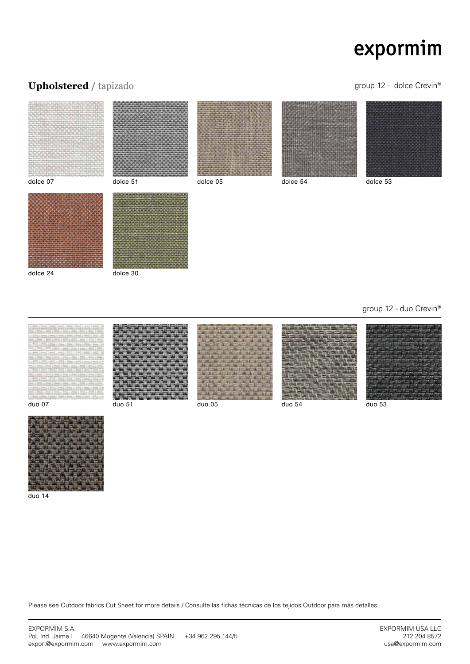## Upholstered / tapizado **group 12 - dolce Crevin®**













duo 14

Please see Outdoor fabrics Cut Sheet for more details / Consulte las fichas técnicas de los tejidos Outdoor para más detalles.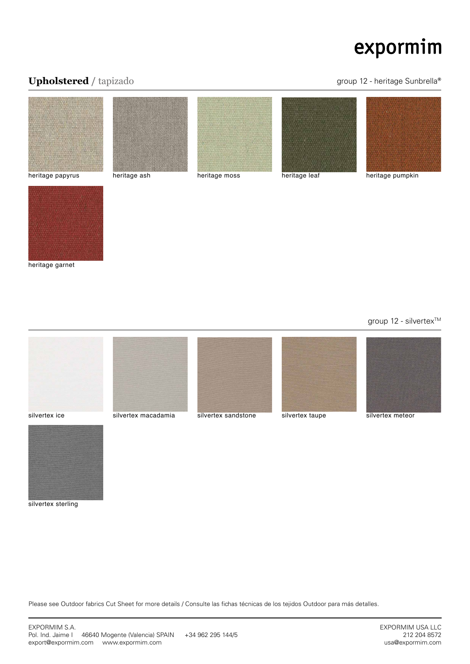## Upholstered / tapizado **Upholstered / tapizado** group 12 - heritage Sunbrella®





heritage garnet

group 12 - silvertex<sup>™</sup>







silvertex sterling

Please see Outdoor fabrics Cut Sheet for more details / Consulte las fichas técnicas de los tejidos Outdoor para más detalles.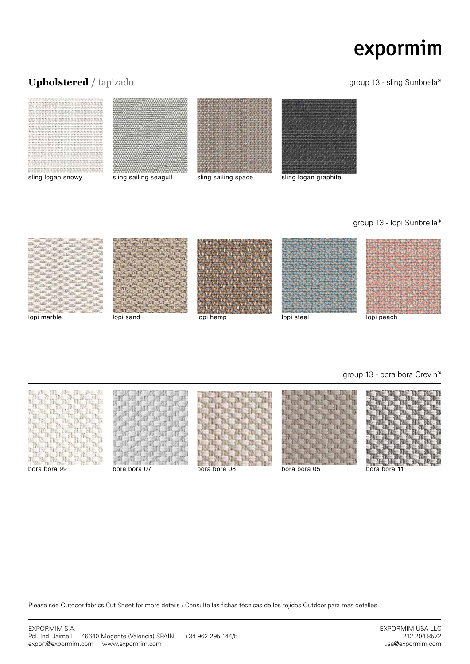## Upholstered / tapizado **Upholstered / tapizado** group 13 - sling Sunbrella®



### group 13 - lopi Sunbrella®



group 13 - bora bora Crevin®



Please see Outdoor fabrics Cut Sheet for more details / Consulte las fichas técnicas de los tejidos Outdoor para más detalles.